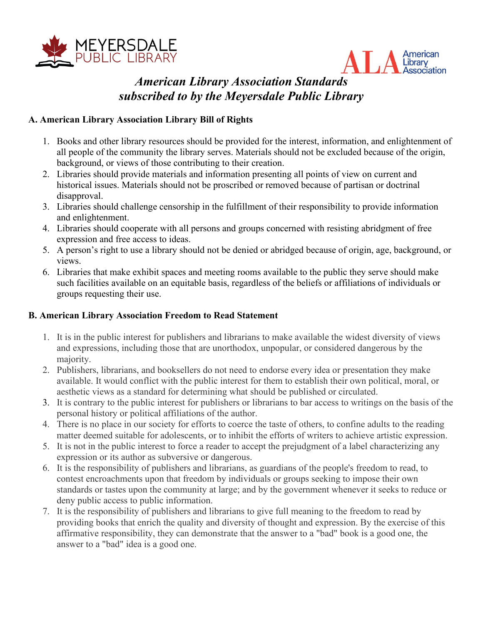



# *American Library Association Standards subscribed to by the Meyersdale Public Library*

## **A. American Library Association Library Bill of Rights**

- 1. Books and other library resources should be provided for the interest, information, and enlightenment of all people of the community the library serves. Materials should not be excluded because of the origin, background, or views of those contributing to their creation.
- 2. Libraries should provide materials and information presenting all points of view on current and historical issues. Materials should not be proscribed or removed because of partisan or doctrinal disapproval.
- 3. Libraries should challenge censorship in the fulfillment of their responsibility to provide information and enlightenment.
- 4. Libraries should cooperate with all persons and groups concerned with resisting abridgment of free expression and free access to ideas.
- 5. A person's right to use a library should not be denied or abridged because of origin, age, background, or views.
- 6. Libraries that make exhibit spaces and meeting rooms available to the public they serve should make such facilities available on an equitable basis, regardless of the beliefs or affiliations of individuals or groups requesting their use.

#### **B. American Library Association Freedom to Read Statement**

- 1. It is in the public interest for publishers and librarians to make available the widest diversity of views and expressions, including those that are unorthodox, unpopular, or considered dangerous by the majority.
- 2. Publishers, librarians, and booksellers do not need to endorse every idea or presentation they make available. It would conflict with the public interest for them to establish their own political, moral, or aesthetic views as a standard for determining what should be published or circulated.
- 3. It is contrary to the public interest for publishers or librarians to bar access to writings on the basis of the personal history or political affiliations of the author.
- 4. There is no place in our society for efforts to coerce the taste of others, to confine adults to the reading matter deemed suitable for adolescents, or to inhibit the efforts of writers to achieve artistic expression.
- 5. It is not in the public interest to force a reader to accept the prejudgment of a label characterizing any expression or its author as subversive or dangerous.
- 6. It is the responsibility of publishers and librarians, as guardians of the people's freedom to read, to contest encroachments upon that freedom by individuals or groups seeking to impose their own standards or tastes upon the community at large; and by the government whenever it seeks to reduce or deny public access to public information.
- 7. It is the responsibility of publishers and librarians to give full meaning to the freedom to read by providing books that enrich the quality and diversity of thought and expression. By the exercise of this affirmative responsibility, they can demonstrate that the answer to a "bad" book is a good one, the answer to a "bad" idea is a good one.